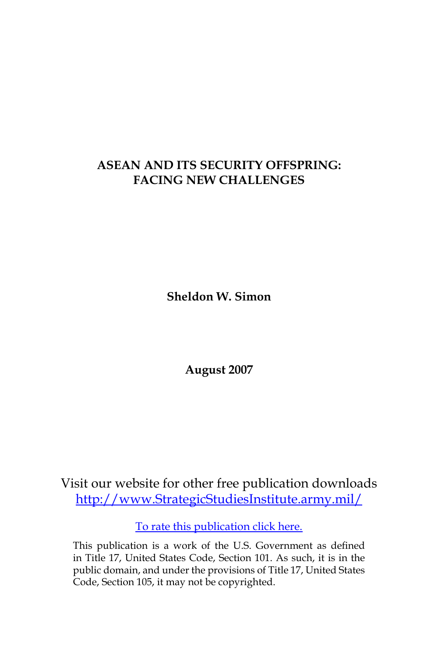# **ASEAN AND ITS SECURITY OFFSPRING: FACING NEW CHALLENGES**

**Sheldon W. Simon**

**August 2007**

Visit our website for other free publication downloads [http://www.StrategicStudiesInstitute.army.mil/](http://www.StrategicStudiesInstitute.army.mil)

[To rate this publication click here.](http://www.strategicstudiesinstitute.army.mil/pubs/display.cfm?pubID=793)

This publication is a work of the U.S. Government as defined in Title 17, United States Code, Section 101. As such, it is in the public domain, and under the provisions of Title 17, United States Code, Section 105, it may not be copyrighted.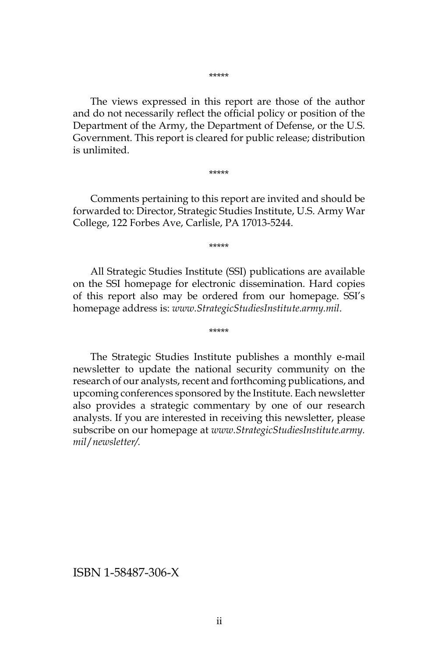\*\*\*\*\*

The views expressed in this report are those of the author and do not necessarily reflect the official policy or position of the Department of the Army, the Department of Defense, or the U.S. Government. This report is cleared for public release; distribution is unlimited.

\*\*\*\*\*

Comments pertaining to this report are invited and should be forwarded to: Director, Strategic Studies Institute, U.S. Army War College, 122 Forbes Ave, Carlisle, PA 17013-5244.

\*\*\*\*\*

All Strategic Studies Institute (SSI) publications are available on the SSI homepage for electronic dissemination. Hard copies of this report also may be ordered from our homepage. SSI's homepage address is: *www.StrategicStudiesInstitute.army.mil*.

\*\*\*\*\*

The Strategic Studies Institute publishes a monthly e-mail newsletter to update the national security community on the research of our analysts, recent and forthcoming publications, and upcoming conferences sponsored by the Institute. Each newsletter also provides a strategic commentary by one of our research analysts. If you are interested in receiving this newsletter, please subscribe on our homepage at *www.StrategicStudiesInstitute.army. mil*/*newsletter/.*

ISBN 1-58487-306-X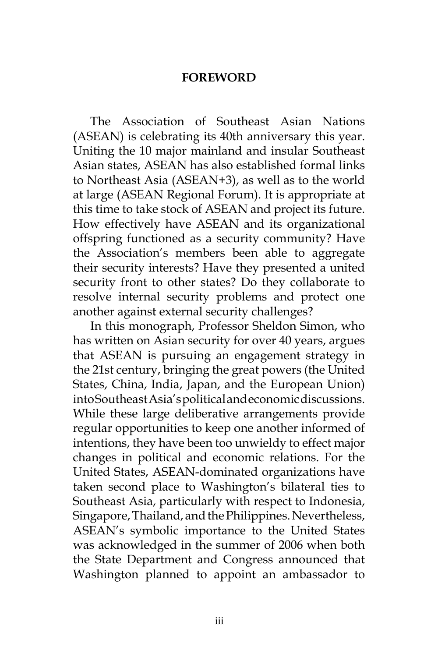#### **FOREWORD**

The Association of Southeast Asian Nations (ASEAN) is celebrating its 40th anniversary this year. Uniting the 10 major mainland and insular Southeast Asian states, ASEAN has also established formal links to Northeast Asia (ASEAN+3), as well as to the world at large (ASEAN Regional Forum). It is appropriate at this time to take stock of ASEAN and project its future. How effectively have ASEAN and its organizational offspring functioned as a security community? Have the Association's members been able to aggregate their security interests? Have they presented a united security front to other states? Do they collaborate to resolve internal security problems and protect one another against external security challenges?

In this monograph, Professor Sheldon Simon, who has written on Asian security for over 40 years, argues that ASEAN is pursuing an engagement strategy in the 21st century, bringing the great powers (the United States, China, India, Japan, and the European Union) into Southeast Asia's political and economic discussions. While these large deliberative arrangements provide regular opportunities to keep one another informed of intentions, they have been too unwieldy to effect major changes in political and economic relations. For the United States, ASEAN-dominated organizations have taken second place to Washington's bilateral ties to Southeast Asia, particularly with respect to Indonesia, Singapore, Thailand, and the Philippines. Nevertheless, ASEAN's symbolic importance to the United States was acknowledged in the summer of 2006 when both the State Department and Congress announced that Washington planned to appoint an ambassador to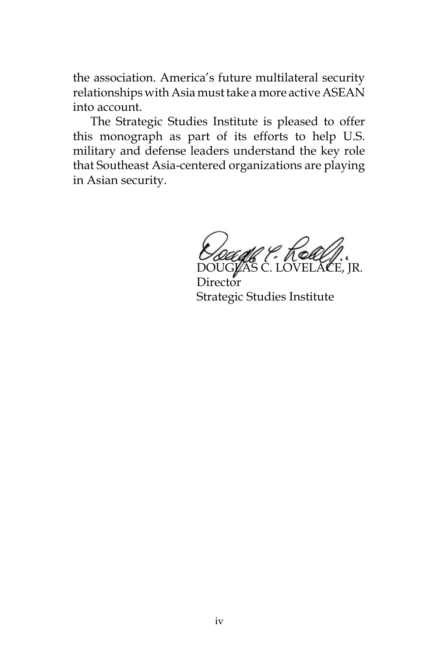the association. America's future multilateral security relationships with Asia must take a more active ASEAN into account.

The Strategic Studies Institute is pleased to offer this monograph as part of its efforts to help U.S. military and defense leaders understand the key role that Southeast Asia-centered organizations are playing in Asian security.

DOUG⊯AS C. LOVELA**C**E, JR.

Director Strategic Studies Institute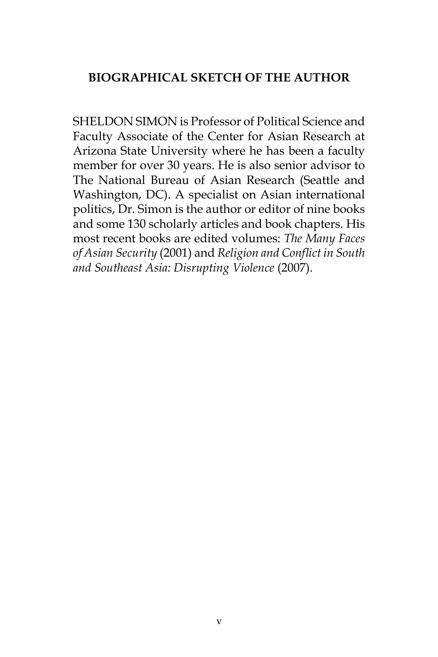# **BIOGRAPHICAL SKETCH OF THE AUTHOR**

SHELDON SIMON is Professor of Political Science and Faculty Associate of the Center for Asian Research at Arizona State University where he has been a faculty member for over 30 years. He is also senior advisor to The National Bureau of Asian Research (Seattle and Washington, DC). A specialist on Asian international politics, Dr. Simon is the author or editor of nine books and some 130 scholarly articles and book chapters. His most recent books are edited volumes: *The Many Faces of Asian Security* (2001) and *Religion and Conflict in South and Southeast Asia: Disrupting Violence* (2007).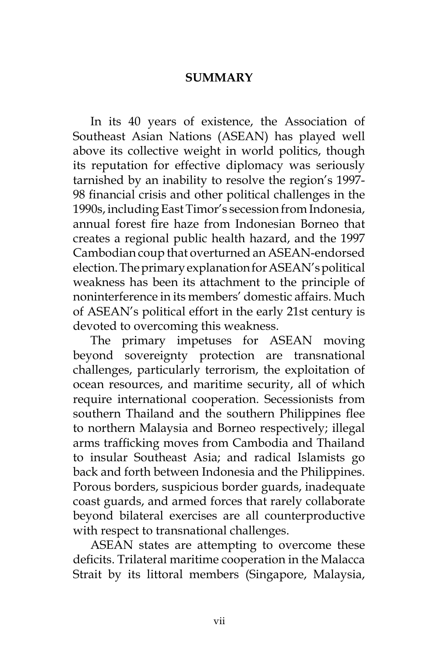#### **SUMMARY**

In its 40 years of existence, the Association of Southeast Asian Nations (ASEAN) has played well above its collective weight in world politics, though its reputation for effective diplomacy was seriously tarnished by an inability to resolve the region's 1997- 98 financial crisis and other political challenges in the 1990s, including East Timor's secession from Indonesia, annual forest fire haze from Indonesian Borneo that creates a regional public health hazard, and the 1997 Cambodian coup that overturned an ASEAN-endorsed election. The primary explanation for ASEAN's political weakness has been its attachment to the principle of noninterference in its members' domestic affairs. Much of ASEAN's political effort in the early 21st century is devoted to overcoming this weakness.

The primary impetuses for ASEAN moving beyond sovereignty protection are transnational challenges, particularly terrorism, the exploitation of ocean resources, and maritime security, all of which require international cooperation. Secessionists from southern Thailand and the southern Philippines flee to northern Malaysia and Borneo respectively; illegal arms trafficking moves from Cambodia and Thailand to insular Southeast Asia; and radical Islamists go back and forth between Indonesia and the Philippines. Porous borders, suspicious border guards, inadequate coast guards, and armed forces that rarely collaborate beyond bilateral exercises are all counterproductive with respect to transnational challenges.

ASEAN states are attempting to overcome these deficits. Trilateral maritime cooperation in the Malacca Strait by its littoral members (Singapore, Malaysia,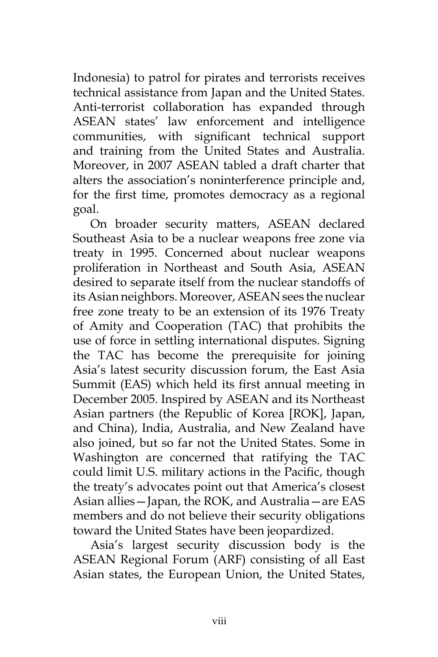Indonesia) to patrol for pirates and terrorists receives technical assistance from Japan and the United States. Anti-terrorist collaboration has expanded through ASEAN states' law enforcement and intelligence communities, with significant technical support and training from the United States and Australia. Moreover, in 2007 ASEAN tabled a draft charter that alters the association's noninterference principle and, for the first time, promotes democracy as a regional goal.

On broader security matters, ASEAN declared Southeast Asia to be a nuclear weapons free zone via treaty in 1995. Concerned about nuclear weapons proliferation in Northeast and South Asia, ASEAN desired to separate itself from the nuclear standoffs of its Asian neighbors. Moreover, ASEAN sees the nuclear free zone treaty to be an extension of its 1976 Treaty of Amity and Cooperation (TAC) that prohibits the use of force in settling international disputes. Signing the TAC has become the prerequisite for joining Asia's latest security discussion forum, the East Asia Summit (EAS) which held its first annual meeting in December 2005. Inspired by ASEAN and its Northeast Asian partners (the Republic of Korea [ROK], Japan, and China), India, Australia, and New Zealand have also joined, but so far not the United States. Some in Washington are concerned that ratifying the TAC could limit U.S. military actions in the Pacific, though the treaty's advocates point out that America's closest Asian allies—Japan, the ROK, and Australia—are EAS members and do not believe their security obligations toward the United States have been jeopardized.

Asia's largest security discussion body is the ASEAN Regional Forum (ARF) consisting of all East Asian states, the European Union, the United States,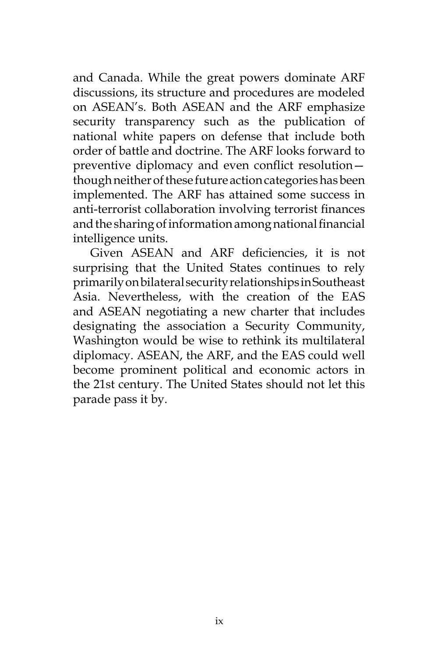and Canada. While the great powers dominate ARF discussions, its structure and procedures are modeled on ASEAN's. Both ASEAN and the ARF emphasize security transparency such as the publication of national white papers on defense that include both order of battle and doctrine. The ARF looks forward to preventive diplomacy and even conflict resolution though neither of these future action categories has been implemented. The ARF has attained some success in anti-terrorist collaboration involving terrorist finances and the sharing of information among national financial intelligence units.

Given ASEAN and ARF deficiencies, it is not surprising that the United States continues to rely primarily on bilateral security relationships in Southeast Asia. Nevertheless, with the creation of the EAS and ASEAN negotiating a new charter that includes designating the association a Security Community, Washington would be wise to rethink its multilateral diplomacy. ASEAN, the ARF, and the EAS could well become prominent political and economic actors in the 21st century. The United States should not let this parade pass it by.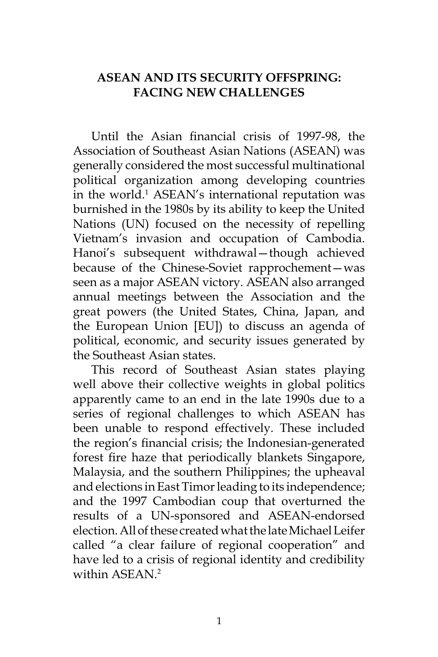## **ASEAN AND ITS SECURITY OFFSPRING: FACING NEW CHALLENGES**

Until the Asian financial crisis of 1997-98, the Association of Southeast Asian Nations (ASEAN) was generally considered the most successful multinational political organization among developing countries in the world.<sup>1</sup> ASEAN's international reputation was burnished in the 1980s by its ability to keep the United Nations (UN) focused on the necessity of repelling Vietnam's invasion and occupation of Cambodia. Hanoi's subsequent withdrawal—though achieved because of the Chinese-Soviet rapprochement—was seen as a major ASEAN victory. ASEAN also arranged annual meetings between the Association and the great powers (the United States, China, Japan, and the European Union [EU]) to discuss an agenda of political, economic, and security issues generated by the Southeast Asian states.

This record of Southeast Asian states playing well above their collective weights in global politics apparently came to an end in the late 1990s due to a series of regional challenges to which ASEAN has been unable to respond effectively. These included the region's financial crisis; the Indonesian-generated forest fire haze that periodically blankets Singapore, Malaysia, and the southern Philippines; the upheaval and elections in East Timor leading to its independence; and the 1997 Cambodian coup that overturned the results of a UN-sponsored and ASEAN-endorsed election. All of these created what the late Michael Leifer called "a clear failure of regional cooperation" and have led to a crisis of regional identity and credibility within ASEAN<sup>2</sup>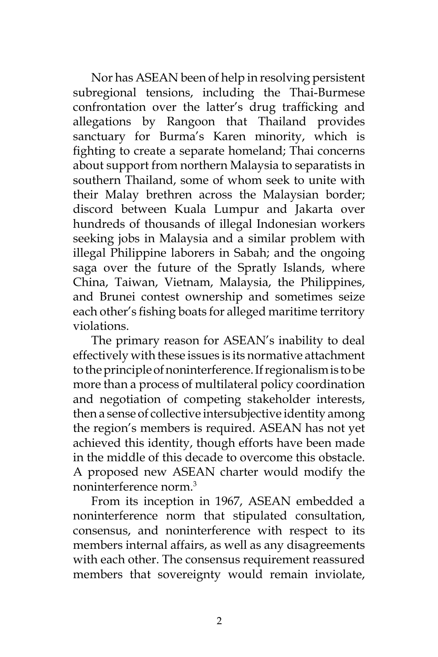Nor has ASEAN been of help in resolving persistent subregional tensions, including the Thai-Burmese confrontation over the latter's drug trafficking and allegations by Rangoon that Thailand provides sanctuary for Burma's Karen minority, which is fighting to create a separate homeland; Thai concerns about support from northern Malaysia to separatists in southern Thailand, some of whom seek to unite with their Malay brethren across the Malaysian border; discord between Kuala Lumpur and Jakarta over hundreds of thousands of illegal Indonesian workers seeking jobs in Malaysia and a similar problem with illegal Philippine laborers in Sabah; and the ongoing saga over the future of the Spratly Islands, where China, Taiwan, Vietnam, Malaysia, the Philippines, and Brunei contest ownership and sometimes seize each other's fishing boats for alleged maritime territory violations.

The primary reason for ASEAN's inability to deal effectively with these issues is its normative attachment to the principle of noninterference. If regionalism is to be more than a process of multilateral policy coordination and negotiation of competing stakeholder interests, then a sense of collective intersubjective identity among the region's members is required. ASEAN has not yet achieved this identity, though efforts have been made in the middle of this decade to overcome this obstacle. A proposed new ASEAN charter would modify the noninterference norm.3

From its inception in 1967, ASEAN embedded a noninterference norm that stipulated consultation, consensus, and noninterference with respect to its members internal affairs, as well as any disagreements with each other. The consensus requirement reassured members that sovereignty would remain inviolate,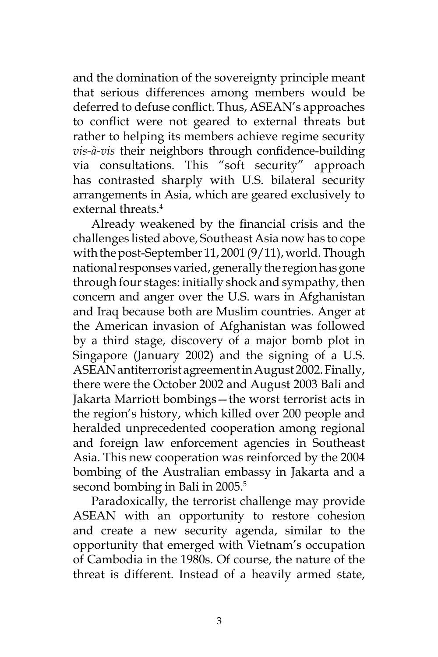and the domination of the sovereignty principle meant that serious differences among members would be deferred to defuse conflict. Thus, ASEAN's approaches to conflict were not geared to external threats but rather to helping its members achieve regime security *vis-à-vis* their neighbors through confidence-building via consultations. This "soft security" approach has contrasted sharply with U.S. bilateral security arrangements in Asia, which are geared exclusively to external threats.<sup>4</sup>

Already weakened by the financial crisis and the challenges listed above, Southeast Asia now has to cope with the post-September 11, 2001 (9/11), world. Though national responses varied, generally the region has gone through four stages: initially shock and sympathy, then concern and anger over the U.S. wars in Afghanistan and Iraq because both are Muslim countries. Anger at the American invasion of Afghanistan was followed by a third stage, discovery of a major bomb plot in Singapore (January 2002) and the signing of a U.S. ASEAN antiterrorist agreement in August 2002. Finally, there were the October 2002 and August 2003 Bali and Jakarta Marriott bombings—the worst terrorist acts in the region's history, which killed over 200 people and heralded unprecedented cooperation among regional and foreign law enforcement agencies in Southeast Asia. This new cooperation was reinforced by the 2004 bombing of the Australian embassy in Jakarta and a second bombing in Bali in 2005.<sup>5</sup>

Paradoxically, the terrorist challenge may provide ASEAN with an opportunity to restore cohesion and create a new security agenda, similar to the opportunity that emerged with Vietnam's occupation of Cambodia in the 1980s. Of course, the nature of the threat is different. Instead of a heavily armed state,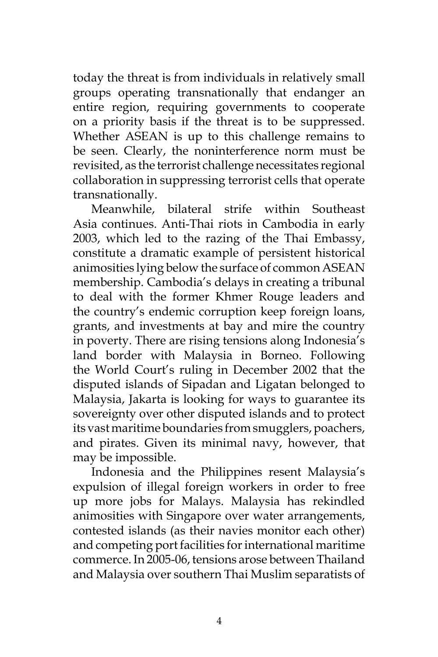today the threat is from individuals in relatively small groups operating transnationally that endanger an entire region, requiring governments to cooperate on a priority basis if the threat is to be suppressed. Whether ASEAN is up to this challenge remains to be seen. Clearly, the noninterference norm must be revisited, as the terrorist challenge necessitates regional collaboration in suppressing terrorist cells that operate transnationally.

Meanwhile, bilateral strife within Southeast Asia continues. Anti-Thai riots in Cambodia in early 2003, which led to the razing of the Thai Embassy, constitute a dramatic example of persistent historical animosities lying below the surface of common ASEAN membership. Cambodia's delays in creating a tribunal to deal with the former Khmer Rouge leaders and the country's endemic corruption keep foreign loans, grants, and investments at bay and mire the country in poverty. There are rising tensions along Indonesia's land border with Malaysia in Borneo. Following the World Court's ruling in December 2002 that the disputed islands of Sipadan and Ligatan belonged to Malaysia, Jakarta is looking for ways to guarantee its sovereignty over other disputed islands and to protect its vast maritime boundaries from smugglers, poachers, and pirates. Given its minimal navy, however, that may be impossible.

Indonesia and the Philippines resent Malaysia's expulsion of illegal foreign workers in order to free up more jobs for Malays. Malaysia has rekindled animosities with Singapore over water arrangements, contested islands (as their navies monitor each other) and competing port facilities for international maritime commerce. In 2005-06, tensions arose between Thailand and Malaysia over southern Thai Muslim separatists of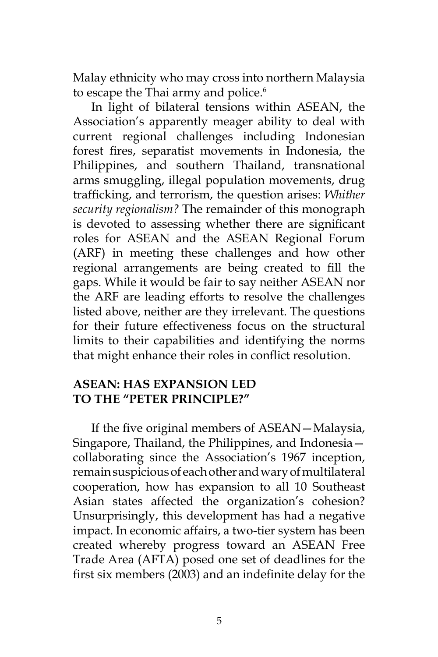Malay ethnicity who may cross into northern Malaysia to escape the Thai army and police.<sup>6</sup>

In light of bilateral tensions within ASEAN, the Association's apparently meager ability to deal with current regional challenges including Indonesian forest fires, separatist movements in Indonesia, the Philippines, and southern Thailand, transnational arms smuggling, illegal population movements, drug trafficking, and terrorism, the question arises: *Whither security regionalism?* The remainder of this monograph is devoted to assessing whether there are significant roles for ASEAN and the ASEAN Regional Forum (ARF) in meeting these challenges and how other regional arrangements are being created to fill the gaps. While it would be fair to say neither ASEAN nor the ARF are leading efforts to resolve the challenges listed above, neither are they irrelevant. The questions for their future effectiveness focus on the structural limits to their capabilities and identifying the norms that might enhance their roles in conflict resolution.

#### **ASEAN: HAS EXPANSION LED TO THE "PETER PRINCIPLE?"**

If the five original members of ASEAN—Malaysia, Singapore, Thailand, the Philippines, and Indonesia collaborating since the Association's 1967 inception, remain suspicious of each other and wary of multilateral cooperation, how has expansion to all 10 Southeast Asian states affected the organization's cohesion? Unsurprisingly, this development has had a negative impact. In economic affairs, a two-tier system has been created whereby progress toward an ASEAN Free Trade Area (AFTA) posed one set of deadlines for the first six members (2003) and an indefinite delay for the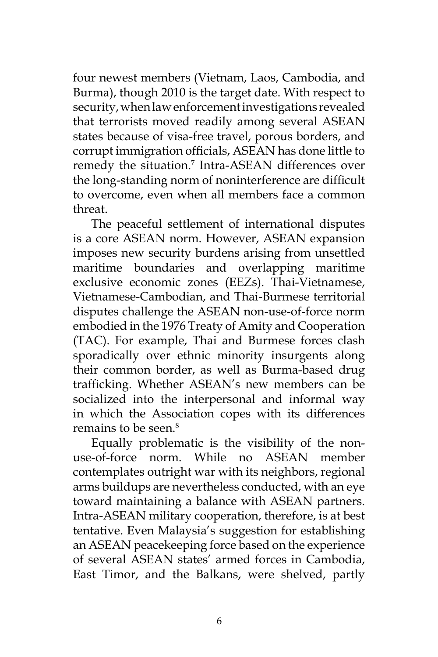four newest members (Vietnam, Laos, Cambodia, and Burma), though 2010 is the target date. With respect to security, when law enforcement investigations revealed that terrorists moved readily among several ASEAN states because of visa-free travel, porous borders, and corrupt immigration officials, ASEAN has done little to remedy the situation.<sup>7</sup> Intra-ASEAN differences over the long-standing norm of noninterference are difficult to overcome, even when all members face a common threat.

The peaceful settlement of international disputes is a core ASEAN norm. However, ASEAN expansion imposes new security burdens arising from unsettled maritime boundaries and overlapping maritime exclusive economic zones (EEZs). Thai-Vietnamese, Vietnamese-Cambodian, and Thai-Burmese territorial disputes challenge the ASEAN non-use-of-force norm embodied in the 1976 Treaty of Amity and Cooperation (TAC). For example, Thai and Burmese forces clash sporadically over ethnic minority insurgents along their common border, as well as Burma-based drug trafficking. Whether ASEAN's new members can be socialized into the interpersonal and informal way in which the Association copes with its differences remains to be seen.<sup>8</sup>

Equally problematic is the visibility of the nonuse-of-force norm. While no ASEAN member contemplates outright war with its neighbors, regional arms buildups are nevertheless conducted, with an eye toward maintaining a balance with ASEAN partners. Intra-ASEAN military cooperation, therefore, is at best tentative. Even Malaysia's suggestion for establishing an ASEAN peacekeeping force based on the experience of several ASEAN states' armed forces in Cambodia, East Timor, and the Balkans, were shelved, partly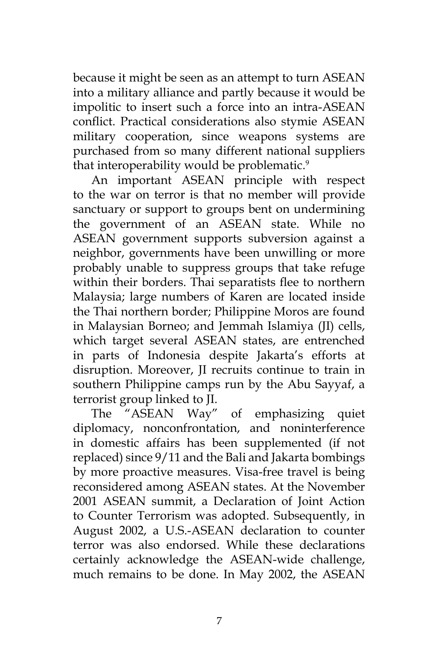because it might be seen as an attempt to turn ASEAN into a military alliance and partly because it would be impolitic to insert such a force into an intra-ASEAN conflict. Practical considerations also stymie ASEAN military cooperation, since weapons systems are purchased from so many different national suppliers that interoperability would be problematic.<sup>9</sup>

An important ASEAN principle with respect to the war on terror is that no member will provide sanctuary or support to groups bent on undermining the government of an ASEAN state. While no ASEAN government supports subversion against a neighbor, governments have been unwilling or more probably unable to suppress groups that take refuge within their borders. Thai separatists flee to northern Malaysia; large numbers of Karen are located inside the Thai northern border; Philippine Moros are found in Malaysian Borneo; and Jemmah Islamiya (JI) cells, which target several ASEAN states, are entrenched in parts of Indonesia despite Jakarta's efforts at disruption. Moreover, JI recruits continue to train in southern Philippine camps run by the Abu Sayyaf, a terrorist group linked to JI.

The "ASEAN Way" of emphasizing quiet diplomacy, nonconfrontation, and noninterference in domestic affairs has been supplemented (if not replaced) since 9/11 and the Bali and Jakarta bombings by more proactive measures. Visa-free travel is being reconsidered among ASEAN states. At the November 2001 ASEAN summit, a Declaration of Joint Action to Counter Terrorism was adopted. Subsequently, in August 2002, a U.S.-ASEAN declaration to counter terror was also endorsed. While these declarations certainly acknowledge the ASEAN-wide challenge, much remains to be done. In May 2002, the ASEAN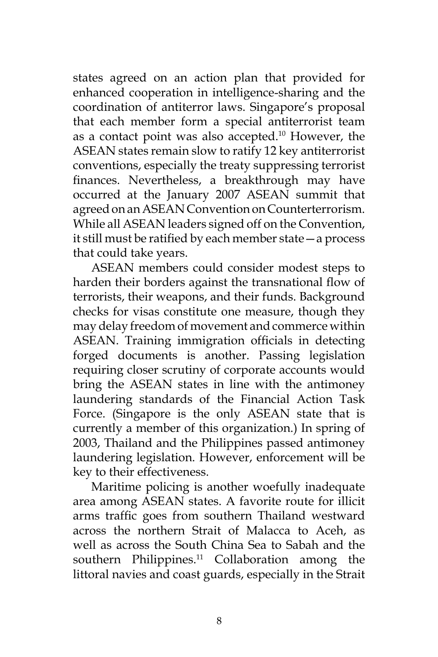states agreed on an action plan that provided for enhanced cooperation in intelligence-sharing and the coordination of antiterror laws. Singapore's proposal that each member form a special antiterrorist team as a contact point was also accepted.<sup>10</sup> However, the ASEAN states remain slow to ratify 12 key antiterrorist conventions, especially the treaty suppressing terrorist finances. Nevertheless, a breakthrough may have occurred at the January 2007 ASEAN summit that agreed on an ASEAN Convention on Counterterrorism. While all ASEAN leaders signed off on the Convention, it still must be ratified by each member state—a process that could take years.

ASEAN members could consider modest steps to harden their borders against the transnational flow of terrorists, their weapons, and their funds. Background checks for visas constitute one measure, though they may delay freedom of movement and commerce within ASEAN. Training immigration officials in detecting forged documents is another. Passing legislation requiring closer scrutiny of corporate accounts would bring the ASEAN states in line with the antimoney laundering standards of the Financial Action Task Force. (Singapore is the only ASEAN state that is currently a member of this organization.) In spring of 2003, Thailand and the Philippines passed antimoney laundering legislation. However, enforcement will be key to their effectiveness.

Maritime policing is another woefully inadequate area among ASEAN states. A favorite route for illicit arms traffic goes from southern Thailand westward across the northern Strait of Malacca to Aceh, as well as across the South China Sea to Sabah and the southern Philippines.<sup>11</sup> Collaboration among the littoral navies and coast guards, especially in the Strait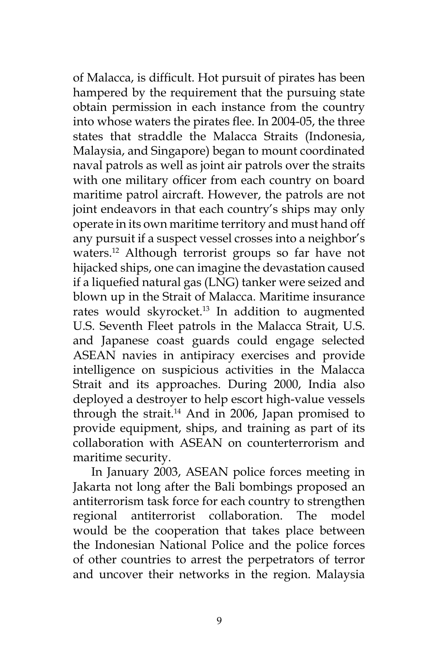of Malacca, is difficult. Hot pursuit of pirates has been hampered by the requirement that the pursuing state obtain permission in each instance from the country into whose waters the pirates flee. In 2004-05, the three states that straddle the Malacca Straits (Indonesia, Malaysia, and Singapore) began to mount coordinated naval patrols as well as joint air patrols over the straits with one military officer from each country on board maritime patrol aircraft. However, the patrols are not joint endeavors in that each country's ships may only operate in its own maritime territory and must hand off any pursuit if a suspect vessel crosses into a neighbor's waters.12 Although terrorist groups so far have not hijacked ships, one can imagine the devastation caused if a liquefied natural gas (LNG) tanker were seized and blown up in the Strait of Malacca. Maritime insurance rates would skyrocket.<sup>13</sup> In addition to augmented U.S. Seventh Fleet patrols in the Malacca Strait, U.S. and Japanese coast guards could engage selected ASEAN navies in antipiracy exercises and provide intelligence on suspicious activities in the Malacca Strait and its approaches. During 2000, India also deployed a destroyer to help escort high-value vessels through the strait.14 And in 2006, Japan promised to provide equipment, ships, and training as part of its collaboration with ASEAN on counterterrorism and maritime security.

In January 2003, ASEAN police forces meeting in Jakarta not long after the Bali bombings proposed an antiterrorism task force for each country to strengthen regional antiterrorist collaboration. The model would be the cooperation that takes place between the Indonesian National Police and the police forces of other countries to arrest the perpetrators of terror and uncover their networks in the region. Malaysia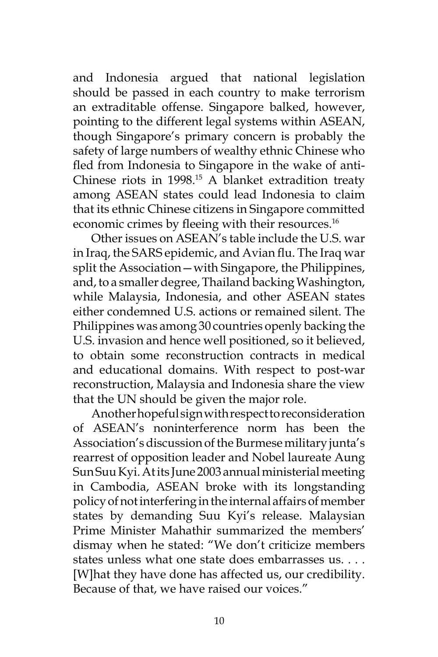and Indonesia argued that national legislation should be passed in each country to make terrorism an extraditable offense. Singapore balked, however, pointing to the different legal systems within ASEAN, though Singapore's primary concern is probably the safety of large numbers of wealthy ethnic Chinese who fled from Indonesia to Singapore in the wake of anti-Chinese riots in 1998.15 A blanket extradition treaty among ASEAN states could lead Indonesia to claim that its ethnic Chinese citizens in Singapore committed economic crimes by fleeing with their resources.<sup>16</sup>

Other issues on ASEAN's table include the U.S. war in Iraq, the SARS epidemic, and Avian flu. The Iraq war split the Association—with Singapore, the Philippines, and, to a smaller degree, Thailand backing Washington, while Malaysia, Indonesia, and other ASEAN states either condemned U.S. actions or remained silent. The Philippines was among 30 countries openly backing the U.S. invasion and hence well positioned, so it believed, to obtain some reconstruction contracts in medical and educational domains. With respect to post-war reconstruction, Malaysia and Indonesia share the view that the UN should be given the major role.

Another hopeful sign with respect to reconsideration of ASEAN's noninterference norm has been the Association's discussion of the Burmese military junta's rearrest of opposition leader and Nobel laureate Aung Sun Suu Kyi. At its June 2003 annual ministerial meeting in Cambodia, ASEAN broke with its longstanding policy of not interfering in the internal affairs of member states by demanding Suu Kyi's release. Malaysian Prime Minister Mahathir summarized the members' dismay when he stated: "We don't criticize members states unless what one state does embarrasses us. . . . [W]hat they have done has affected us, our credibility. Because of that, we have raised our voices."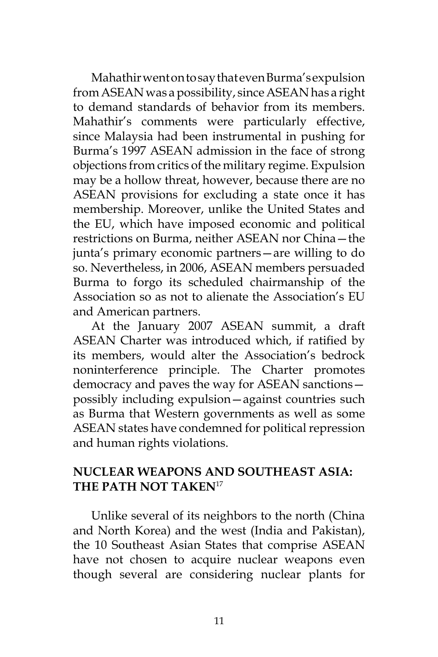Mahathir went on to say that even Burma's expulsion from ASEAN was a possibility, since ASEAN has a right to demand standards of behavior from its members. Mahathir's comments were particularly effective, since Malaysia had been instrumental in pushing for Burma's 1997 ASEAN admission in the face of strong objections from critics of the military regime. Expulsion may be a hollow threat, however, because there are no ASEAN provisions for excluding a state once it has membership. Moreover, unlike the United States and the EU, which have imposed economic and political restrictions on Burma, neither ASEAN nor China—the junta's primary economic partners—are willing to do so. Nevertheless, in 2006, ASEAN members persuaded Burma to forgo its scheduled chairmanship of the Association so as not to alienate the Association's EU and American partners.

At the January 2007 ASEAN summit, a draft ASEAN Charter was introduced which, if ratified by its members, would alter the Association's bedrock noninterference principle. The Charter promotes democracy and paves the way for ASEAN sanctions possibly including expulsion—against countries such as Burma that Western governments as well as some ASEAN states have condemned for political repression and human rights violations.

### **NUCLEAR WEAPONS AND SOUTHEAST ASIA: THE PATH NOT TAKEN**<sup>17</sup>

Unlike several of its neighbors to the north (China and North Korea) and the west (India and Pakistan), the 10 Southeast Asian States that comprise ASEAN have not chosen to acquire nuclear weapons even though several are considering nuclear plants for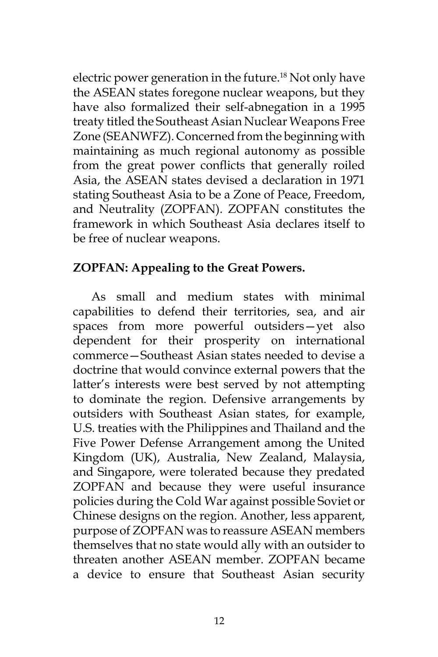electric power generation in the future.<sup>18</sup> Not only have the ASEAN states foregone nuclear weapons, but they have also formalized their self-abnegation in a 1995 treaty titled the Southeast Asian Nuclear Weapons Free Zone (SEANWFZ). Concerned from the beginning with maintaining as much regional autonomy as possible from the great power conflicts that generally roiled Asia, the ASEAN states devised a declaration in 1971 stating Southeast Asia to be a Zone of Peace, Freedom, and Neutrality (ZOPFAN). ZOPFAN constitutes the framework in which Southeast Asia declares itself to be free of nuclear weapons.

# **ZOPFAN: Appealing to the Great Powers.**

As small and medium states with minimal capabilities to defend their territories, sea, and air spaces from more powerful outsiders—yet also dependent for their prosperity on international commerce—Southeast Asian states needed to devise a doctrine that would convince external powers that the latter's interests were best served by not attempting to dominate the region. Defensive arrangements by outsiders with Southeast Asian states, for example, U.S. treaties with the Philippines and Thailand and the Five Power Defense Arrangement among the United Kingdom (UK), Australia, New Zealand, Malaysia, and Singapore, were tolerated because they predated ZOPFAN and because they were useful insurance policies during the Cold War against possible Soviet or Chinese designs on the region. Another, less apparent, purpose of ZOPFAN was to reassure ASEAN members themselves that no state would ally with an outsider to threaten another ASEAN member. ZOPFAN became a device to ensure that Southeast Asian security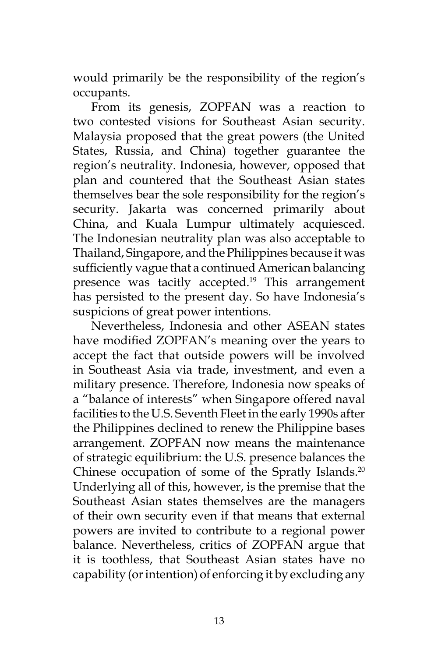would primarily be the responsibility of the region's occupants.

From its genesis, ZOPFAN was a reaction to two contested visions for Southeast Asian security. Malaysia proposed that the great powers (the United States, Russia, and China) together guarantee the region's neutrality. Indonesia, however, opposed that plan and countered that the Southeast Asian states themselves bear the sole responsibility for the region's security. Jakarta was concerned primarily about China, and Kuala Lumpur ultimately acquiesced. The Indonesian neutrality plan was also acceptable to Thailand, Singapore, and the Philippines because it was sufficiently vague that a continued American balancing presence was tacitly accepted.<sup>19</sup> This arrangement has persisted to the present day. So have Indonesia's suspicions of great power intentions.

Nevertheless, Indonesia and other ASEAN states have modified ZOPFAN's meaning over the years to accept the fact that outside powers will be involved in Southeast Asia via trade, investment, and even a military presence. Therefore, Indonesia now speaks of a "balance of interests" when Singapore offered naval facilities to the U.S. Seventh Fleet in the early 1990s after the Philippines declined to renew the Philippine bases arrangement. ZOPFAN now means the maintenance of strategic equilibrium: the U.S. presence balances the Chinese occupation of some of the Spratly Islands.<sup>20</sup> Underlying all of this, however, is the premise that the Southeast Asian states themselves are the managers of their own security even if that means that external powers are invited to contribute to a regional power balance. Nevertheless, critics of ZOPFAN argue that it is toothless, that Southeast Asian states have no capability (or intention) of enforcing it by excluding any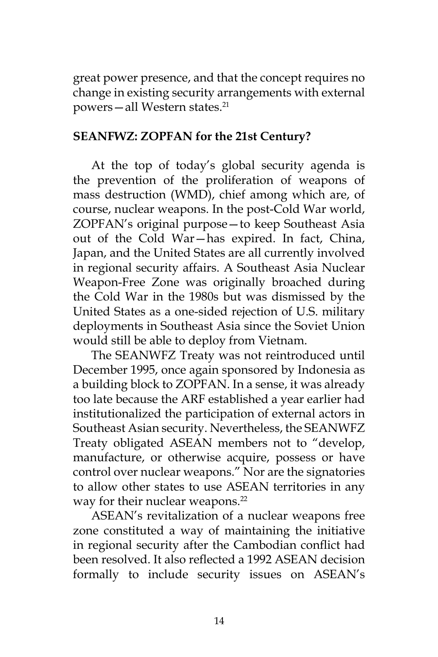great power presence, and that the concept requires no change in existing security arrangements with external powers—all Western states.21

### **SEANFWZ: ZOPFAN for the 21st Century?**

At the top of today's global security agenda is the prevention of the proliferation of weapons of mass destruction (WMD), chief among which are, of course, nuclear weapons. In the post-Cold War world, ZOPFAN's original purpose—to keep Southeast Asia out of the Cold War—has expired. In fact, China, Japan, and the United States are all currently involved in regional security affairs. A Southeast Asia Nuclear Weapon-Free Zone was originally broached during the Cold War in the 1980s but was dismissed by the United States as a one-sided rejection of U.S. military deployments in Southeast Asia since the Soviet Union would still be able to deploy from Vietnam.

The SEANWFZ Treaty was not reintroduced until December 1995, once again sponsored by Indonesia as a building block to ZOPFAN. In a sense, it was already too late because the ARF established a year earlier had institutionalized the participation of external actors in Southeast Asian security. Nevertheless, the SEANWFZ Treaty obligated ASEAN members not to "develop, manufacture, or otherwise acquire, possess or have control over nuclear weapons." Nor are the signatories to allow other states to use ASEAN territories in any way for their nuclear weapons.<sup>22</sup>

ASEAN's revitalization of a nuclear weapons free zone constituted a way of maintaining the initiative in regional security after the Cambodian conflict had been resolved. It also reflected a 1992 ASEAN decision formally to include security issues on ASEAN's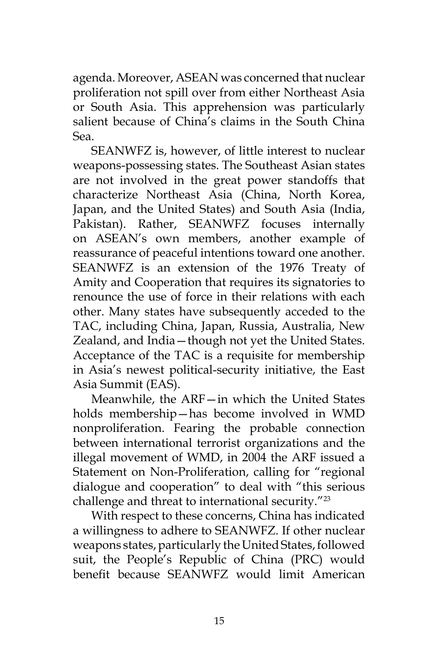agenda. Moreover, ASEAN was concerned that nuclear proliferation not spill over from either Northeast Asia or South Asia. This apprehension was particularly salient because of China's claims in the South China Sea.

SEANWFZ is, however, of little interest to nuclear weapons-possessing states. The Southeast Asian states are not involved in the great power standoffs that characterize Northeast Asia (China, North Korea, Japan, and the United States) and South Asia (India, Pakistan). Rather, SEANWFZ focuses internally on ASEAN's own members, another example of reassurance of peaceful intentions toward one another. SEANWFZ is an extension of the 1976 Treaty of Amity and Cooperation that requires its signatories to renounce the use of force in their relations with each other. Many states have subsequently acceded to the TAC, including China, Japan, Russia, Australia, New Zealand, and India—though not yet the United States. Acceptance of the TAC is a requisite for membership in Asia's newest political-security initiative, the East Asia Summit (EAS).

Meanwhile, the ARF—in which the United States holds membership—has become involved in WMD nonproliferation. Fearing the probable connection between international terrorist organizations and the illegal movement of WMD, in 2004 the ARF issued a Statement on Non-Proliferation, calling for "regional dialogue and cooperation" to deal with "this serious challenge and threat to international security."23

With respect to these concerns, China has indicated a willingness to adhere to SEANWFZ. If other nuclear weapons states, particularly the United States, followed suit, the People's Republic of China (PRC) would benefit because SEANWFZ would limit American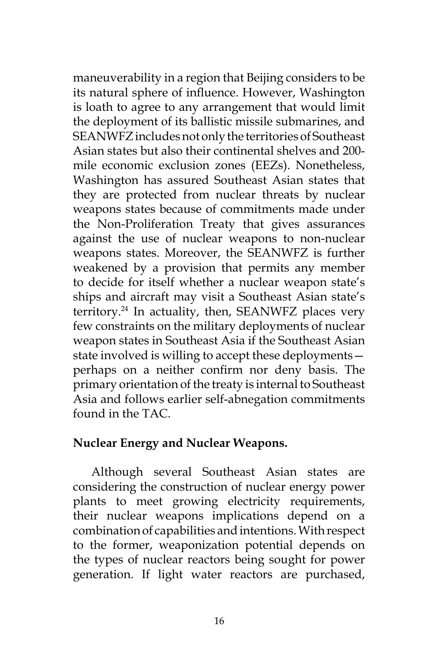maneuverability in a region that Beijing considers to be its natural sphere of influence. However, Washington is loath to agree to any arrangement that would limit the deployment of its ballistic missile submarines, and SEANWFZ includes not only the territories of Southeast Asian states but also their continental shelves and 200 mile economic exclusion zones (EEZs). Nonetheless, Washington has assured Southeast Asian states that they are protected from nuclear threats by nuclear weapons states because of commitments made under the Non-Proliferation Treaty that gives assurances against the use of nuclear weapons to non-nuclear weapons states. Moreover, the SEANWFZ is further weakened by a provision that permits any member to decide for itself whether a nuclear weapon state's ships and aircraft may visit a Southeast Asian state's territory.24 In actuality, then, SEANWFZ places very few constraints on the military deployments of nuclear weapon states in Southeast Asia if the Southeast Asian state involved is willing to accept these deployments perhaps on a neither confirm nor deny basis. The primary orientation of the treaty is internal to Southeast Asia and follows earlier self-abnegation commitments found in the TAC.

#### **Nuclear Energy and Nuclear Weapons.**

Although several Southeast Asian states are considering the construction of nuclear energy power plants to meet growing electricity requirements, their nuclear weapons implications depend on a combination of capabilities and intentions. With respect to the former, weaponization potential depends on the types of nuclear reactors being sought for power generation. If light water reactors are purchased,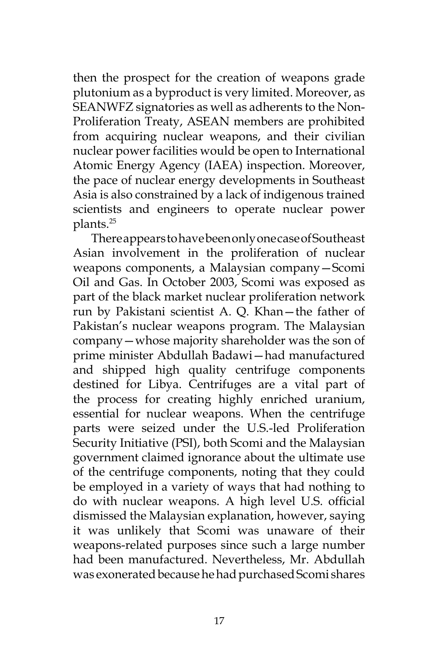then the prospect for the creation of weapons grade plutonium as a byproduct is very limited. Moreover, as SEANWFZ signatories as well as adherents to the Non-Proliferation Treaty, ASEAN members are prohibited from acquiring nuclear weapons, and their civilian nuclear power facilities would be open to International Atomic Energy Agency (IAEA) inspection. Moreover, the pace of nuclear energy developments in Southeast Asia is also constrained by a lack of indigenous trained scientists and engineers to operate nuclear power plants.25

There appears to have been only one case of Southeast Asian involvement in the proliferation of nuclear weapons components, a Malaysian company—Scomi Oil and Gas. In October 2003, Scomi was exposed as part of the black market nuclear proliferation network run by Pakistani scientist A. Q. Khan—the father of Pakistan's nuclear weapons program. The Malaysian company—whose majority shareholder was the son of prime minister Abdullah Badawi—had manufactured and shipped high quality centrifuge components destined for Libya. Centrifuges are a vital part of the process for creating highly enriched uranium, essential for nuclear weapons. When the centrifuge parts were seized under the U.S.-led Proliferation Security Initiative (PSI), both Scomi and the Malaysian government claimed ignorance about the ultimate use of the centrifuge components, noting that they could be employed in a variety of ways that had nothing to do with nuclear weapons. A high level U.S. official dismissed the Malaysian explanation, however, saying it was unlikely that Scomi was unaware of their weapons-related purposes since such a large number had been manufactured. Nevertheless, Mr. Abdullah was exonerated because he had purchased Scomi shares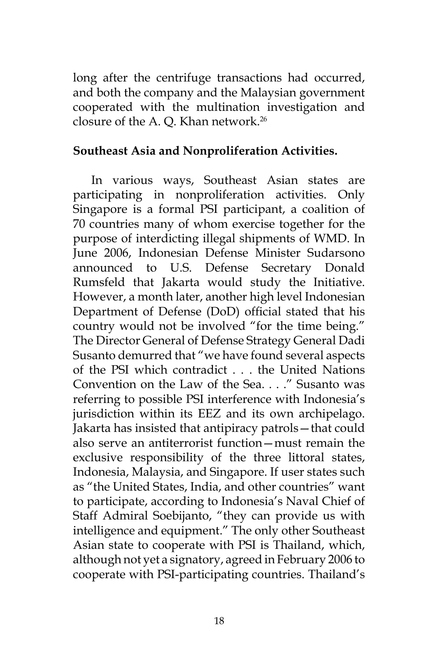long after the centrifuge transactions had occurred, and both the company and the Malaysian government cooperated with the multination investigation and closure of the A. Q. Khan network.26

### **Southeast Asia and Nonproliferation Activities.**

In various ways, Southeast Asian states are participating in nonproliferation activities. Only Singapore is a formal PSI participant, a coalition of 70 countries many of whom exercise together for the purpose of interdicting illegal shipments of WMD. In June 2006, Indonesian Defense Minister Sudarsono announced to U.S. Defense Secretary Donald Rumsfeld that Jakarta would study the Initiative. However, a month later, another high level Indonesian Department of Defense (DoD) official stated that his country would not be involved "for the time being." The Director General of Defense Strategy General Dadi Susanto demurred that "we have found several aspects of the PSI which contradict . . . the United Nations Convention on the Law of the Sea. . . ." Susanto was referring to possible PSI interference with Indonesia's jurisdiction within its EEZ and its own archipelago. Jakarta has insisted that antipiracy patrols—that could also serve an antiterrorist function—must remain the exclusive responsibility of the three littoral states, Indonesia, Malaysia, and Singapore. If user states such as "the United States, India, and other countries" want to participate, according to Indonesia's Naval Chief of Staff Admiral Soebijanto, "they can provide us with intelligence and equipment." The only other Southeast Asian state to cooperate with PSI is Thailand, which, although not yet a signatory, agreed in February 2006 to cooperate with PSI-participating countries. Thailand's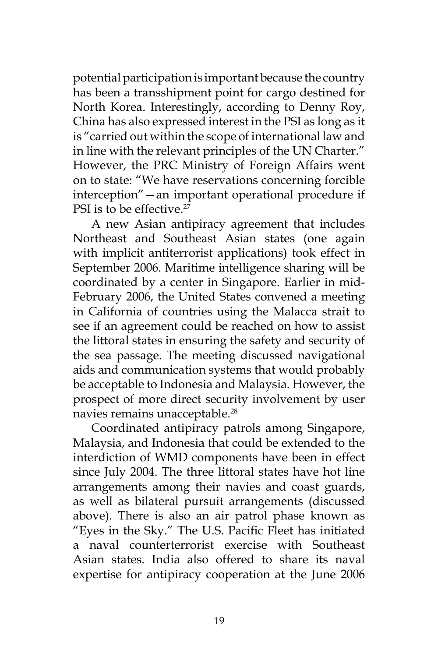potential participation is important because the country has been a transshipment point for cargo destined for North Korea. Interestingly, according to Denny Roy, China has also expressed interest in the PSI as long as it is "carried out within the scope of international law and in line with the relevant principles of the UN Charter." However, the PRC Ministry of Foreign Affairs went on to state: "We have reservations concerning forcible interception"—an important operational procedure if PSI is to be effective.<sup>27</sup>

A new Asian antipiracy agreement that includes Northeast and Southeast Asian states (one again with implicit antiterrorist applications) took effect in September 2006. Maritime intelligence sharing will be coordinated by a center in Singapore. Earlier in mid-February 2006, the United States convened a meeting in California of countries using the Malacca strait to see if an agreement could be reached on how to assist the littoral states in ensuring the safety and security of the sea passage. The meeting discussed navigational aids and communication systems that would probably be acceptable to Indonesia and Malaysia. However, the prospect of more direct security involvement by user navies remains unacceptable.28

Coordinated antipiracy patrols among Singapore, Malaysia, and Indonesia that could be extended to the interdiction of WMD components have been in effect since July 2004. The three littoral states have hot line arrangements among their navies and coast guards, as well as bilateral pursuit arrangements (discussed above). There is also an air patrol phase known as "Eyes in the Sky." The U.S. Pacific Fleet has initiated a naval counterterrorist exercise with Southeast Asian states. India also offered to share its naval expertise for antipiracy cooperation at the June 2006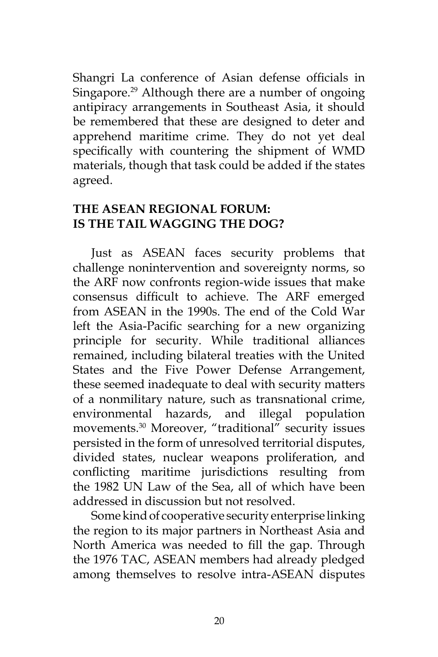Shangri La conference of Asian defense officials in Singapore.<sup>29</sup> Although there are a number of ongoing antipiracy arrangements in Southeast Asia, it should be remembered that these are designed to deter and apprehend maritime crime. They do not yet deal specifically with countering the shipment of WMD materials, though that task could be added if the states agreed.

# **THE ASEAN REGIONAL FORUM: IS THE TAIL WAGGING THE DOG?**

Just as ASEAN faces security problems that challenge nonintervention and sovereignty norms, so the ARF now confronts region-wide issues that make consensus difficult to achieve. The ARF emerged from ASEAN in the 1990s. The end of the Cold War left the Asia-Pacific searching for a new organizing principle for security. While traditional alliances remained, including bilateral treaties with the United States and the Five Power Defense Arrangement, these seemed inadequate to deal with security matters of a nonmilitary nature, such as transnational crime, environmental hazards, and illegal population movements.30 Moreover, "traditional" security issues persisted in the form of unresolved territorial disputes, divided states, nuclear weapons proliferation, and conflicting maritime jurisdictions resulting from the 1982 UN Law of the Sea, all of which have been addressed in discussion but not resolved.

Some kind of cooperative security enterprise linking the region to its major partners in Northeast Asia and North America was needed to fill the gap. Through the 1976 TAC, ASEAN members had already pledged among themselves to resolve intra-ASEAN disputes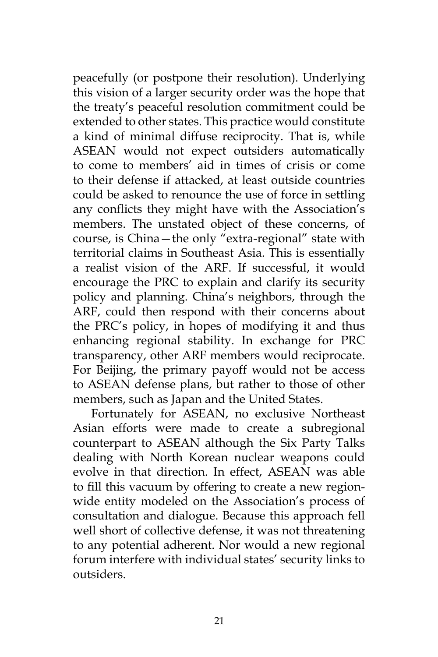peacefully (or postpone their resolution). Underlying this vision of a larger security order was the hope that the treaty's peaceful resolution commitment could be extended to other states. This practice would constitute a kind of minimal diffuse reciprocity. That is, while ASEAN would not expect outsiders automatically to come to members' aid in times of crisis or come to their defense if attacked, at least outside countries could be asked to renounce the use of force in settling any conflicts they might have with the Association's members. The unstated object of these concerns, of course, is China—the only "extra-regional" state with territorial claims in Southeast Asia. This is essentially a realist vision of the ARF. If successful, it would encourage the PRC to explain and clarify its security policy and planning. China's neighbors, through the ARF, could then respond with their concerns about the PRC's policy, in hopes of modifying it and thus enhancing regional stability. In exchange for PRC transparency, other ARF members would reciprocate. For Beijing, the primary payoff would not be access to ASEAN defense plans, but rather to those of other members, such as Japan and the United States.

Fortunately for ASEAN, no exclusive Northeast Asian efforts were made to create a subregional counterpart to ASEAN although the Six Party Talks dealing with North Korean nuclear weapons could evolve in that direction. In effect, ASEAN was able to fill this vacuum by offering to create a new regionwide entity modeled on the Association's process of consultation and dialogue. Because this approach fell well short of collective defense, it was not threatening to any potential adherent. Nor would a new regional forum interfere with individual states' security links to outsiders.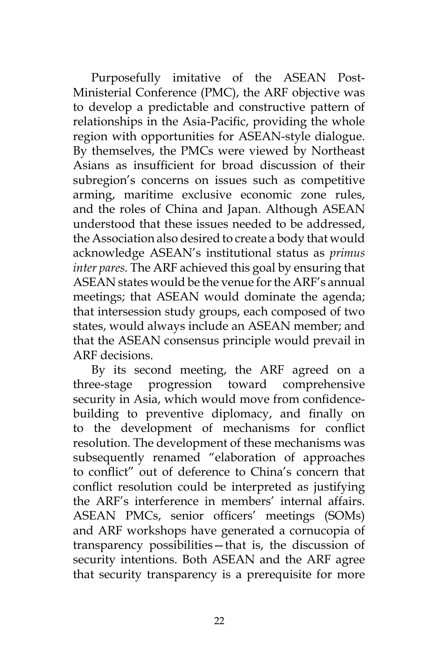Purposefully imitative of the ASEAN Post-Ministerial Conference (PMC), the ARF objective was to develop a predictable and constructive pattern of relationships in the Asia-Pacific, providing the whole region with opportunities for ASEAN-style dialogue. By themselves, the PMCs were viewed by Northeast Asians as insufficient for broad discussion of their subregion's concerns on issues such as competitive arming, maritime exclusive economic zone rules, and the roles of China and Japan. Although ASEAN understood that these issues needed to be addressed, the Association also desired to create a body that would acknowledge ASEAN's institutional status as *primus inter pares.* The ARF achieved this goal by ensuring that ASEAN states would be the venue for the ARF's annual meetings; that ASEAN would dominate the agenda; that intersession study groups, each composed of two states, would always include an ASEAN member; and that the ASEAN consensus principle would prevail in ARF decisions.

By its second meeting, the ARF agreed on a three-stage progression toward comprehensive security in Asia, which would move from confidencebuilding to preventive diplomacy, and finally on to the development of mechanisms for conflict resolution. The development of these mechanisms was subsequently renamed "elaboration of approaches to conflict" out of deference to China's concern that conflict resolution could be interpreted as justifying the ARF's interference in members' internal affairs. ASEAN PMCs, senior officers' meetings (SOMs) and ARF workshops have generated a cornucopia of transparency possibilities—that is, the discussion of security intentions. Both ASEAN and the ARF agree that security transparency is a prerequisite for more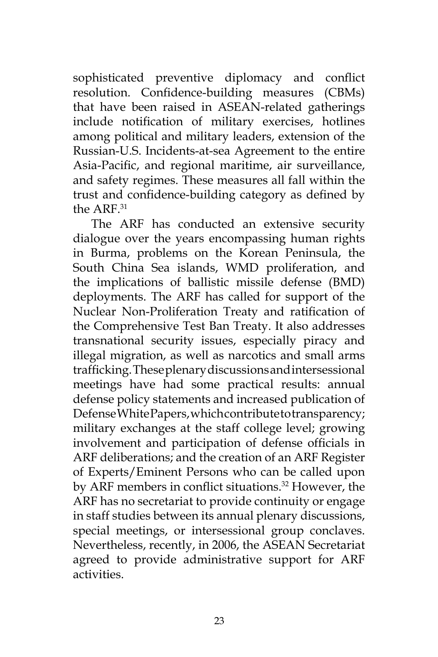sophisticated preventive diplomacy and conflict resolution. Confidence-building measures (CBMs) that have been raised in ASEAN-related gatherings include notification of military exercises, hotlines among political and military leaders, extension of the Russian-U.S. Incidents-at-sea Agreement to the entire Asia-Pacific, and regional maritime, air surveillance, and safety regimes. These measures all fall within the trust and confidence-building category as defined by the  $ARF<sup>31</sup>$ 

The ARF has conducted an extensive security dialogue over the years encompassing human rights in Burma, problems on the Korean Peninsula, the South China Sea islands, WMD proliferation, and the implications of ballistic missile defense (BMD) deployments. The ARF has called for support of the Nuclear Non-Proliferation Treaty and ratification of the Comprehensive Test Ban Treaty. It also addresses transnational security issues, especially piracy and illegal migration, as well as narcotics and small arms trafficking. These plenary discussions and intersessional meetings have had some practical results: annual defense policy statements and increased publication of Defense White Papers, which contribute to transparency; military exchanges at the staff college level; growing involvement and participation of defense officials in ARF deliberations; and the creation of an ARF Register of Experts/Eminent Persons who can be called upon by ARF members in conflict situations.<sup>32</sup> However, the ARF has no secretariat to provide continuity or engage in staff studies between its annual plenary discussions, special meetings, or intersessional group conclaves. Nevertheless, recently, in 2006, the ASEAN Secretariat agreed to provide administrative support for ARF activities.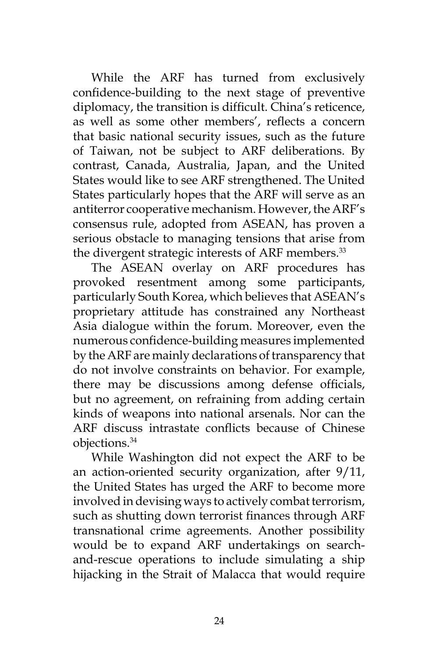While the ARF has turned from exclusively confidence-building to the next stage of preventive diplomacy, the transition is difficult. China's reticence, as well as some other members', reflects a concern that basic national security issues, such as the future of Taiwan, not be subject to ARF deliberations. By contrast, Canada, Australia, Japan, and the United States would like to see ARF strengthened. The United States particularly hopes that the ARF will serve as an antiterror cooperative mechanism. However, the ARF's consensus rule, adopted from ASEAN, has proven a serious obstacle to managing tensions that arise from the divergent strategic interests of ARF members.<sup>33</sup>

The ASEAN overlay on ARF procedures has provoked resentment among some participants, particularly South Korea, which believes that ASEAN's proprietary attitude has constrained any Northeast Asia dialogue within the forum. Moreover, even the numerous confidence-building measures implemented by the ARF are mainly declarations of transparency that do not involve constraints on behavior. For example, there may be discussions among defense officials, but no agreement, on refraining from adding certain kinds of weapons into national arsenals. Nor can the ARF discuss intrastate conflicts because of Chinese objections.34

While Washington did not expect the ARF to be an action-oriented security organization, after 9/11, the United States has urged the ARF to become more involved in devising ways to actively combat terrorism, such as shutting down terrorist finances through ARF transnational crime agreements. Another possibility would be to expand ARF undertakings on searchand-rescue operations to include simulating a ship hijacking in the Strait of Malacca that would require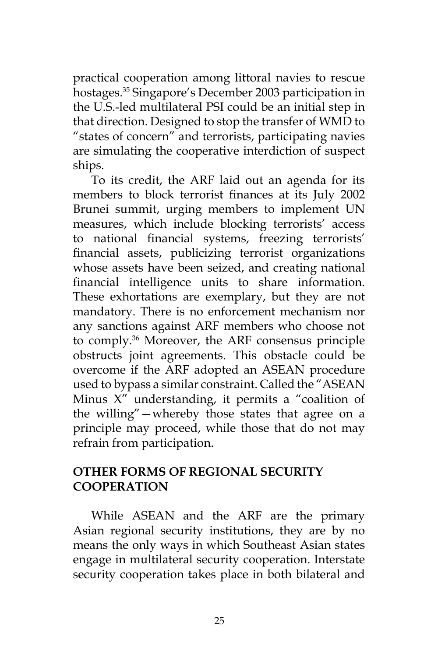practical cooperation among littoral navies to rescue hostages.35 Singapore's December 2003 participation in the U.S.-led multilateral PSI could be an initial step in that direction. Designed to stop the transfer of WMD to "states of concern" and terrorists, participating navies are simulating the cooperative interdiction of suspect ships.

To its credit, the ARF laid out an agenda for its members to block terrorist finances at its July 2002 Brunei summit, urging members to implement UN measures, which include blocking terrorists' access to national financial systems, freezing terrorists' financial assets, publicizing terrorist organizations whose assets have been seized, and creating national financial intelligence units to share information. These exhortations are exemplary, but they are not mandatory. There is no enforcement mechanism nor any sanctions against ARF members who choose not to comply.36 Moreover, the ARF consensus principle obstructs joint agreements. This obstacle could be overcome if the ARF adopted an ASEAN procedure used to bypass a similar constraint. Called the "ASEAN Minus  $X''$  understanding, it permits a "coalition of the willing"—whereby those states that agree on a principle may proceed, while those that do not may refrain from participation.

# **OTHER FORMS OF REGIONAL SECURITY COOPERATION**

While ASEAN and the ARF are the primary Asian regional security institutions, they are by no means the only ways in which Southeast Asian states engage in multilateral security cooperation. Interstate security cooperation takes place in both bilateral and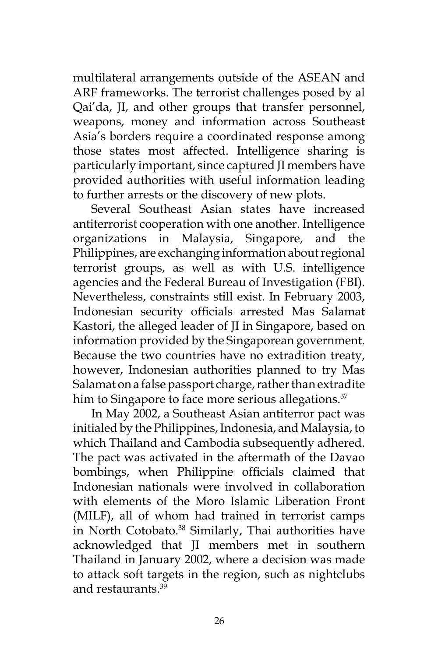multilateral arrangements outside of the ASEAN and ARF frameworks. The terrorist challenges posed by al Qai'da, JI, and other groups that transfer personnel, weapons, money and information across Southeast Asia's borders require a coordinated response among those states most affected. Intelligence sharing is particularly important, since captured JI members have provided authorities with useful information leading to further arrests or the discovery of new plots.

Several Southeast Asian states have increased antiterrorist cooperation with one another. Intelligence organizations in Malaysia, Singapore, and the Philippines, are exchanging information about regional terrorist groups, as well as with U.S. intelligence agencies and the Federal Bureau of Investigation (FBI). Nevertheless, constraints still exist. In February 2003, Indonesian security officials arrested Mas Salamat Kastori, the alleged leader of JI in Singapore, based on information provided by the Singaporean government. Because the two countries have no extradition treaty, however, Indonesian authorities planned to try Mas Salamat on a false passport charge, rather than extradite him to Singapore to face more serious allegations.<sup>37</sup>

In May 2002, a Southeast Asian antiterror pact was initialed by the Philippines, Indonesia, and Malaysia, to which Thailand and Cambodia subsequently adhered. The pact was activated in the aftermath of the Davao bombings, when Philippine officials claimed that Indonesian nationals were involved in collaboration with elements of the Moro Islamic Liberation Front (MILF), all of whom had trained in terrorist camps in North Cotobato.<sup>38</sup> Similarly, Thai authorities have acknowledged that JI members met in southern Thailand in January 2002, where a decision was made to attack soft targets in the region, such as nightclubs and restaurants.39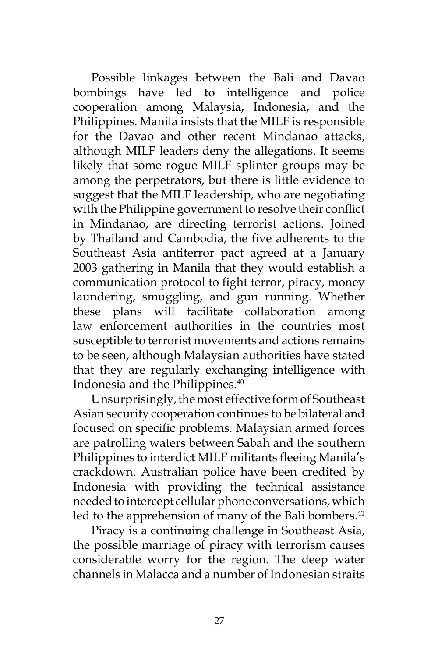Possible linkages between the Bali and Davao bombings have led to intelligence and police cooperation among Malaysia, Indonesia, and the Philippines. Manila insists that the MILF is responsible for the Davao and other recent Mindanao attacks, although MILF leaders deny the allegations. It seems likely that some rogue MILF splinter groups may be among the perpetrators, but there is little evidence to suggest that the MILF leadership, who are negotiating with the Philippine government to resolve their conflict in Mindanao, are directing terrorist actions. Joined by Thailand and Cambodia, the five adherents to the Southeast Asia antiterror pact agreed at a January 2003 gathering in Manila that they would establish a communication protocol to fight terror, piracy, money laundering, smuggling, and gun running. Whether these plans will facilitate collaboration among law enforcement authorities in the countries most susceptible to terrorist movements and actions remains to be seen, although Malaysian authorities have stated that they are regularly exchanging intelligence with Indonesia and the Philippines.<sup>40</sup>

Unsurprisingly, the most effective form of Southeast Asian security cooperation continues to be bilateral and focused on specific problems. Malaysian armed forces are patrolling waters between Sabah and the southern Philippines to interdict MILF militants fleeing Manila's crackdown. Australian police have been credited by Indonesia with providing the technical assistance needed to intercept cellular phone conversations, which led to the apprehension of many of the Bali bombers.<sup>41</sup>

Piracy is a continuing challenge in Southeast Asia, the possible marriage of piracy with terrorism causes considerable worry for the region. The deep water channels in Malacca and a number of Indonesian straits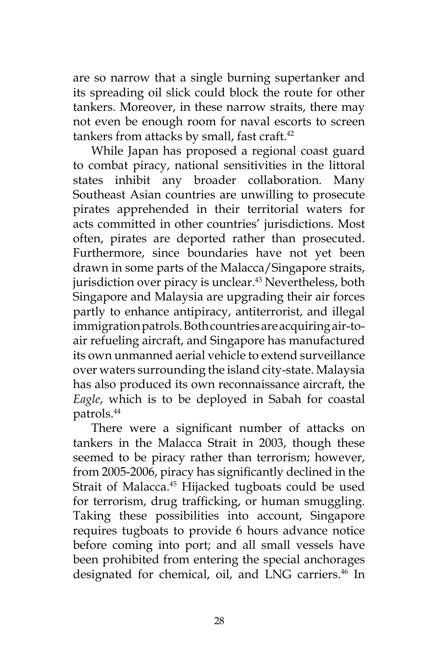are so narrow that a single burning supertanker and its spreading oil slick could block the route for other tankers. Moreover, in these narrow straits, there may not even be enough room for naval escorts to screen tankers from attacks by small, fast craft.<sup>42</sup>

While Japan has proposed a regional coast guard to combat piracy, national sensitivities in the littoral states inhibit any broader collaboration. Many Southeast Asian countries are unwilling to prosecute pirates apprehended in their territorial waters for acts committed in other countries' jurisdictions. Most often, pirates are deported rather than prosecuted. Furthermore, since boundaries have not yet been drawn in some parts of the Malacca/Singapore straits, jurisdiction over piracy is unclear.<sup>43</sup> Nevertheless, both Singapore and Malaysia are upgrading their air forces partly to enhance antipiracy, antiterrorist, and illegal immigration patrols. Both countries are acquiring air-toair refueling aircraft, and Singapore has manufactured its own unmanned aerial vehicle to extend surveillance over waters surrounding the island city-state. Malaysia has also produced its own reconnaissance aircraft, the *Eagle*, which is to be deployed in Sabah for coastal patrols.44

There were a significant number of attacks on tankers in the Malacca Strait in 2003, though these seemed to be piracy rather than terrorism; however, from 2005-2006, piracy has significantly declined in the Strait of Malacca.<sup>45</sup> Hijacked tugboats could be used for terrorism, drug trafficking, or human smuggling. Taking these possibilities into account, Singapore requires tugboats to provide 6 hours advance notice before coming into port; and all small vessels have been prohibited from entering the special anchorages designated for chemical, oil, and LNG carriers.<sup>46</sup> In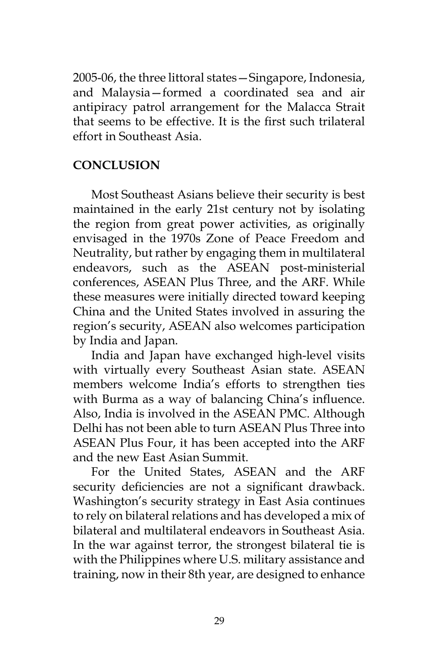2005-06, the three littoral states—Singapore, Indonesia, and Malaysia—formed a coordinated sea and air antipiracy patrol arrangement for the Malacca Strait that seems to be effective. It is the first such trilateral effort in Southeast Asia.

# **CONCLUSION**

Most Southeast Asians believe their security is best maintained in the early 21st century not by isolating the region from great power activities, as originally envisaged in the 1970s Zone of Peace Freedom and Neutrality, but rather by engaging them in multilateral endeavors, such as the ASEAN post-ministerial conferences, ASEAN Plus Three, and the ARF. While these measures were initially directed toward keeping China and the United States involved in assuring the region's security, ASEAN also welcomes participation by India and Japan.

India and Japan have exchanged high-level visits with virtually every Southeast Asian state. ASEAN members welcome India's efforts to strengthen ties with Burma as a way of balancing China's influence. Also, India is involved in the ASEAN PMC. Although Delhi has not been able to turn ASEAN Plus Three into ASEAN Plus Four, it has been accepted into the ARF and the new East Asian Summit.

For the United States, ASEAN and the ARF security deficiencies are not a significant drawback. Washington's security strategy in East Asia continues to rely on bilateral relations and has developed a mix of bilateral and multilateral endeavors in Southeast Asia. In the war against terror, the strongest bilateral tie is with the Philippines where U.S. military assistance and training, now in their 8th year, are designed to enhance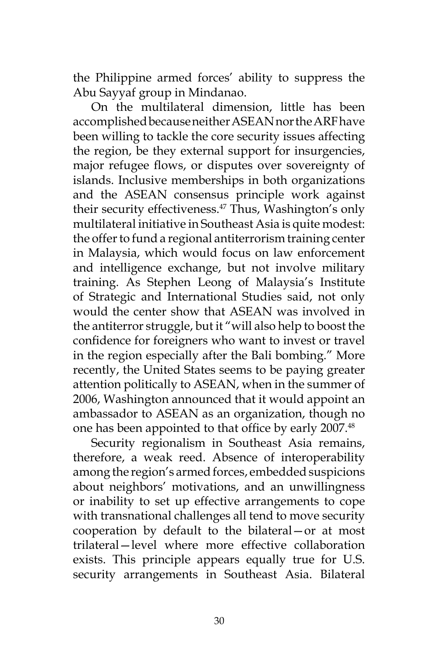the Philippine armed forces' ability to suppress the Abu Sayyaf group in Mindanao.

On the multilateral dimension, little has been accomplished because neither ASEAN nor the ARF have been willing to tackle the core security issues affecting the region, be they external support for insurgencies, major refugee flows, or disputes over sovereignty of islands. Inclusive memberships in both organizations and the ASEAN consensus principle work against their security effectiveness.<sup>47</sup> Thus, Washington's only multilateral initiative in Southeast Asia is quite modest: the offer to fund a regional antiterrorism training center in Malaysia, which would focus on law enforcement and intelligence exchange, but not involve military training. As Stephen Leong of Malaysia's Institute of Strategic and International Studies said, not only would the center show that ASEAN was involved in the antiterror struggle, but it "will also help to boost the confidence for foreigners who want to invest or travel in the region especially after the Bali bombing." More recently, the United States seems to be paying greater attention politically to ASEAN, when in the summer of 2006, Washington announced that it would appoint an ambassador to ASEAN as an organization, though no one has been appointed to that office by early 2007.<sup>48</sup>

Security regionalism in Southeast Asia remains, therefore, a weak reed. Absence of interoperability among the region's armed forces, embedded suspicions about neighbors' motivations, and an unwillingness or inability to set up effective arrangements to cope with transnational challenges all tend to move security cooperation by default to the bilateral—or at most trilateral—level where more effective collaboration exists. This principle appears equally true for U.S. security arrangements in Southeast Asia. Bilateral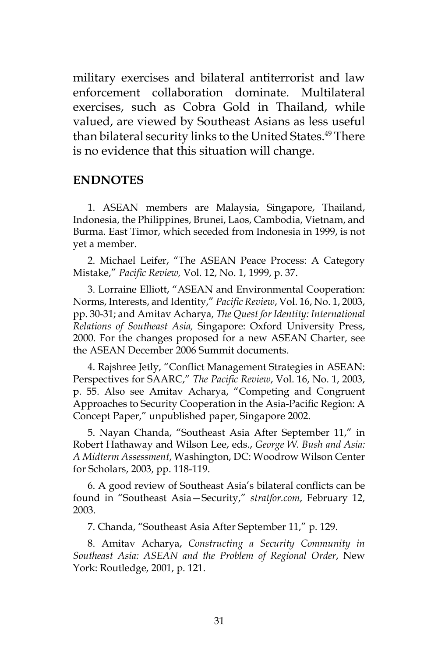military exercises and bilateral antiterrorist and law enforcement collaboration dominate. Multilateral exercises, such as Cobra Gold in Thailand, while valued, are viewed by Southeast Asians as less useful than bilateral security links to the United States.<sup>49</sup> There is no evidence that this situation will change.

#### **ENDNOTES**

1. ASEAN members are Malaysia, Singapore, Thailand, Indonesia, the Philippines, Brunei, Laos, Cambodia, Vietnam, and Burma. East Timor, which seceded from Indonesia in 1999, is not yet a member.

2. Michael Leifer, "The ASEAN Peace Process: A Category Mistake," *Pacific Review,* Vol. 12, No. 1, 1999, p. 37.

3. Lorraine Elliott, "ASEAN and Environmental Cooperation: Norms, Interests, and Identity," *Pacific Review*, Vol. 16, No. 1, 2003, pp. 30-31; and Amitav Acharya, *The Quest for Identity: International Relations of Southeast Asia,* Singapore: Oxford University Press, 2000. For the changes proposed for a new ASEAN Charter, see the ASEAN December 2006 Summit documents.

4. Rajshree Jetly, "Conflict Management Strategies in ASEAN: Perspectives for SAARC," *The Pacific Review*, Vol. 16, No. 1, 2003, p. 55. Also see Amitav Acharya, "Competing and Congruent Approaches to Security Cooperation in the Asia-Pacific Region: A Concept Paper," unpublished paper, Singapore 2002.

5. Nayan Chanda, "Southeast Asia After September 11," in Robert Hathaway and Wilson Lee, eds., *George W. Bush and Asia: A Midterm Assessment*, Washington, DC: Woodrow Wilson Center for Scholars, 2003, pp. 118-119.

6. A good review of Southeast Asia's bilateral conflicts can be found in "Southeast Asia—Security," *stratfor.com*, February 12, 2003.

7. Chanda, "Southeast Asia After September 11," p. 129.

8. Amitav Acharya, *Constructing a Security Community in Southeast Asia: ASEAN and the Problem of Regional Order*, New York: Routledge, 2001, p. 121.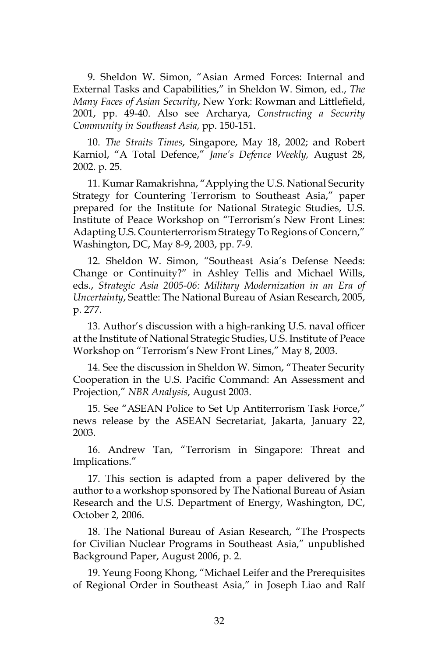9. Sheldon W. Simon, "Asian Armed Forces: Internal and External Tasks and Capabilities," in Sheldon W. Simon, ed., *The Many Faces of Asian Security*, New York: Rowman and Littlefield, 2001, pp. 49-40. Also see Archarya, *Constructing a Security Community in Southeast Asia,* pp. 150-151.

10. *The Straits Times*, Singapore, May 18, 2002; and Robert Karniol, "A Total Defence," *Jane's Defence Weekly,* August 28, 2002. p. 25.

11. Kumar Ramakrishna, "Applying the U.S. National Security Strategy for Countering Terrorism to Southeast Asia," paper prepared for the Institute for National Strategic Studies, U.S. Institute of Peace Workshop on "Terrorism's New Front Lines: Adapting U.S. Counterterrorism Strategy To Regions of Concern," Washington, DC, May 8-9, 2003, pp. 7-9.

12. Sheldon W. Simon, "Southeast Asia's Defense Needs: Change or Continuity?" in Ashley Tellis and Michael Wills, eds., *Strategic Asia 2005-06: Military Modernization in an Era of Uncertainty*, Seattle: The National Bureau of Asian Research, 2005, p. 277.

13. Author's discussion with a high-ranking U.S. naval officer at the Institute of National Strategic Studies, U.S. Institute of Peace Workshop on "Terrorism's New Front Lines," May 8, 2003.

14. See the discussion in Sheldon W. Simon, "Theater Security Cooperation in the U.S. Pacific Command: An Assessment and Projection," *NBR Analysis*, August 2003.

15. See "ASEAN Police to Set Up Antiterrorism Task Force," news release by the ASEAN Secretariat, Jakarta, January 22, 2003.

16. Andrew Tan, "Terrorism in Singapore: Threat and Implications."

17. This section is adapted from a paper delivered by the author to a workshop sponsored by The National Bureau of Asian Research and the U.S. Department of Energy, Washington, DC, October 2, 2006.

18. The National Bureau of Asian Research, "The Prospects for Civilian Nuclear Programs in Southeast Asia," unpublished Background Paper, August 2006, p. 2.

19. Yeung Foong Khong, "Michael Leifer and the Prerequisites of Regional Order in Southeast Asia," in Joseph Liao and Ralf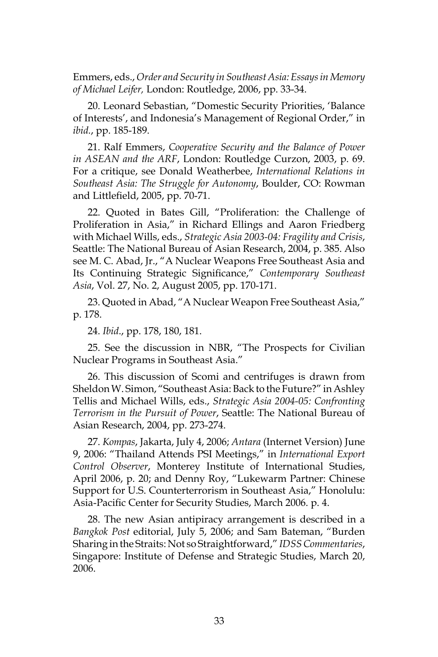Emmers, eds., *Order and Security in Southeast Asia: Essays in Memory of Michael Leifer,* London: Routledge, 2006, pp. 33-34.

20. Leonard Sebastian, "Domestic Security Priorities, 'Balance of Interests', and Indonesia's Management of Regional Order," in *ibid.*, pp. 185-189.

21. Ralf Emmers, *Cooperative Security and the Balance of Power in ASEAN and the ARF*, London: Routledge Curzon, 2003, p. 69. For a critique, see Donald Weatherbee, *International Relations in Southeast Asia: The Struggle for Autonomy*, Boulder, CO: Rowman and Littlefield, 2005, pp. 70-71.

22. Quoted in Bates Gill, "Proliferation: the Challenge of Proliferation in Asia," in Richard Ellings and Aaron Friedberg with Michael Wills, eds., *Strategic Asia 2003-04: Fragility and Crisis*, Seattle: The National Bureau of Asian Research, 2004, p. 385. Also see M. C. Abad, Jr., "A Nuclear Weapons Free Southeast Asia and Its Continuing Strategic Significance," *Contemporary Southeast Asia*, Vol. 27, No. 2, August 2005, pp. 170-171.

23. Quoted in Abad, "A Nuclear Weapon Free Southeast Asia," p. 178.

24. *Ibid*., pp. 178, 180, 181.

25. See the discussion in NBR, "The Prospects for Civilian Nuclear Programs in Southeast Asia."

26. This discussion of Scomi and centrifuges is drawn from Sheldon W. Simon, "Southeast Asia: Back to the Future?" in Ashley Tellis and Michael Wills, eds., *Strategic Asia 2004-05: Confronting Terrorism in the Pursuit of Power*, Seattle: The National Bureau of Asian Research, 2004, pp. 273-274.

27. *Kompas*, Jakarta, July 4, 2006; *Antara* (Internet Version) June 9, 2006: "Thailand Attends PSI Meetings," in *International Export Control Observer*, Monterey Institute of International Studies, April 2006, p. 20; and Denny Roy, "Lukewarm Partner: Chinese Support for U.S. Counterterrorism in Southeast Asia," Honolulu: Asia-Pacific Center for Security Studies, March 2006. p. 4.

28. The new Asian antipiracy arrangement is described in a *Bangkok Post* editorial, July 5, 2006; and Sam Bateman, "Burden Sharing in the Straits: Not so Straightforward," *IDSS Commentaries*, Singapore: Institute of Defense and Strategic Studies, March 20, 2006.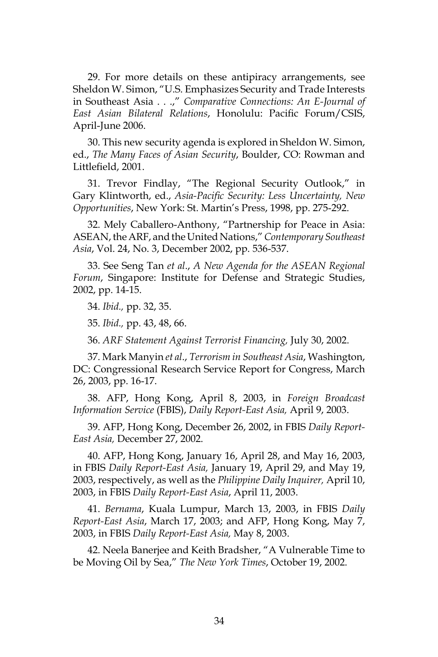29. For more details on these antipiracy arrangements, see Sheldon W. Simon, "U.S. Emphasizes Security and Trade Interests in Southeast Asia . . .," *Comparative Connections: An E-Journal of East Asian Bilateral Relations*, Honolulu: Pacific Forum/CSIS, April-June 2006.

30. This new security agenda is explored in Sheldon W. Simon, ed., *The Many Faces of Asian Security*, Boulder, CO: Rowman and Littlefield, 2001.

31. Trevor Findlay, "The Regional Security Outlook," in Gary Klintworth, ed., *Asia-Pacific Security: Less Uncertainty, New Opportunities*, New York: St. Martin's Press, 1998, pp. 275-292.

32. Mely Caballero-Anthony, "Partnership for Peace in Asia: ASEAN, the ARF, and the United Nations," *Contemporary Southeast Asia*, Vol. 24, No. 3, December 2002, pp. 536-537.

33. See Seng Tan *et al*., *A New Agenda for the ASEAN Regional Forum*, Singapore: Institute for Defense and Strategic Studies, 2002, pp. 14-15.

34. *Ibid.,* pp. 32, 35.

35. *Ibid.,* pp. 43, 48, 66.

36. *ARF Statement Against Terrorist Financing,* July 30, 2002.

37. Mark Manyin *et al*., *Terrorism in Southeast Asia*, Washington, DC: Congressional Research Service Report for Congress, March 26, 2003, pp. 16-17.

38. AFP, Hong Kong, April 8, 2003, in *Foreign Broadcast Information Service* (FBIS), *Daily Report-East Asia,* April 9, 2003.

39. AFP, Hong Kong, December 26, 2002, in FBIS *Daily Report-East Asia,* December 27, 2002.

40. AFP, Hong Kong, January 16, April 28, and May 16, 2003, in FBIS *Daily Report-East Asia,* January 19, April 29, and May 19, 2003, respectively, as well as the *Philippine Daily Inquirer,* April 10, 2003, in FBIS *Daily Report-East Asia*, April 11, 2003.

41. *Bernama*, Kuala Lumpur, March 13, 2003, in FBIS *Daily Report-East Asia*, March 17, 2003; and AFP, Hong Kong, May 7, 2003, in FBIS *Daily Report-East Asia,* May 8, 2003.

42. Neela Banerjee and Keith Bradsher, "A Vulnerable Time to be Moving Oil by Sea," *The New York Times*, October 19, 2002.